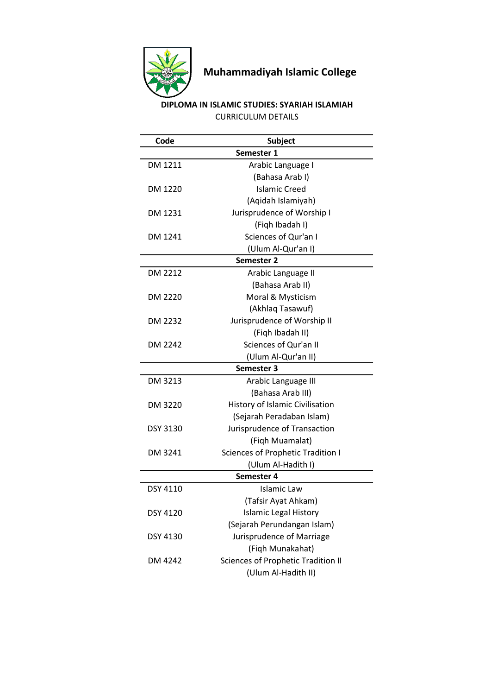

## **Muhammadiyah Islamic College**

## **DIPLOMA IN ISLAMIC STUDIES: SYARIAH ISLAMIAH** CURRICULUM DETAILS

| Code            | <b>Subject</b>                            |  |
|-----------------|-------------------------------------------|--|
|                 | Semester 1                                |  |
| DM 1211         | Arabic Language I                         |  |
|                 | (Bahasa Arab I)                           |  |
| DM 1220         | <b>Islamic Creed</b>                      |  |
|                 | (Aqidah Islamiyah)                        |  |
| DM 1231         | Jurisprudence of Worship I                |  |
|                 | (Figh Ibadah I)                           |  |
| DM 1241         | Sciences of Qur'an I                      |  |
|                 | (Ulum Al-Qur'an I)                        |  |
| Semester 2      |                                           |  |
| DM 2212         | Arabic Language II                        |  |
|                 | (Bahasa Arab II)                          |  |
| DM 2220         | Moral & Mysticism                         |  |
|                 | (Akhlaq Tasawuf)                          |  |
| DM 2232         | Jurisprudence of Worship II               |  |
|                 | (Fiqh Ibadah II)                          |  |
| DM 2242         | Sciences of Qur'an II                     |  |
|                 | (Ulum Al-Qur'an II)                       |  |
| Semester 3      |                                           |  |
| DM 3213         | Arabic Language III                       |  |
|                 | (Bahasa Arab III)                         |  |
| DM 3220         | History of Islamic Civilisation           |  |
|                 | (Sejarah Peradaban Islam)                 |  |
| <b>DSY 3130</b> | Jurisprudence of Transaction              |  |
|                 | (Figh Muamalat)                           |  |
| DM 3241         | <b>Sciences of Prophetic Tradition I</b>  |  |
|                 | (Ulum Al-Hadith I)                        |  |
|                 | Semester 4                                |  |
| DSY 4110        | <b>Islamic Law</b>                        |  |
|                 | (Tafsir Ayat Ahkam)                       |  |
| DSY 4120        | <b>Islamic Legal History</b>              |  |
|                 | (Sejarah Perundangan Islam)               |  |
| <b>DSY 4130</b> | Jurisprudence of Marriage                 |  |
|                 | (Fiqh Munakahat)                          |  |
| DM 4242         | <b>Sciences of Prophetic Tradition II</b> |  |
|                 | (Ulum Al-Hadith II)                       |  |